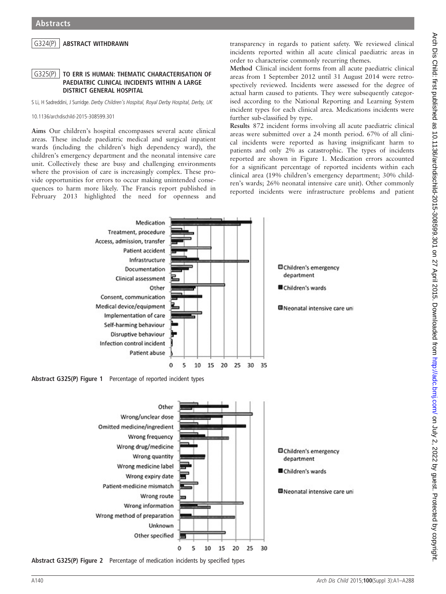## G324(P) ABSTRACT WITHDRAWN

## G325(P) TO ERR IS HUMAN: THEMATIC CHARACTERISATION OF PAEDIATRIC CLINICAL INCIDENTS WITHIN A LARGE DISTRICT GENERAL HOSPITAL

S Li, H Sadreddini, J Surridge. Derby Children's Hospital, Royal Derby Hospital, Derby, UK

10.1136/archdischild-2015-308599.301

Aims Our children's hospital encompasses several acute clinical areas. These include paediatric medical and surgical inpatient wards (including the children's high dependency ward), the children's emergency department and the neonatal intensive care unit. Collectively these are busy and challenging environments where the provision of care is increasingly complex. These provide opportunities for errors to occur making unintended consequences to harm more likely. The Francis report published in February 2013 highlighted the need for openness and

transparency in regards to patient safety. We reviewed clinical incidents reported within all acute clinical paediatric areas in order to characterise commonly recurring themes.

Method Clinical incident forms from all acute paediatric clinical areas from 1 September 2012 until 31 August 2014 were retrospectively reviewed. Incidents were assessed for the degree of actual harm caused to patients. They were subsequently categorised according to the National Reporting and Learning System incident types for each clinical area. Medications incidents were further sub-classified by type.

Results 872 incident forms involving all acute paediatric clinical areas were submitted over a 24 month period. 67% of all clinical incidents were reported as having insignificant harm to patients and only 2% as catastrophic. The types of incidents reported are shown in Figure 1. Medication errors accounted for a significant percentage of reported incidents within each clinical area (19% children's emergency department; 30% children's wards; 26% neonatal intensive care unit). Other commonly reported incidents were infrastructure problems and patient



Abstract G325(P) Figure 2 Percentage of medication incidents by specified types